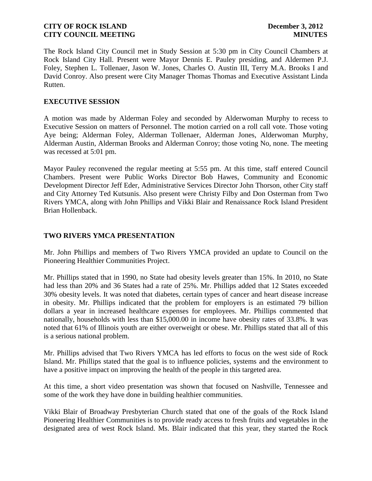The Rock Island City Council met in Study Session at 5:30 pm in City Council Chambers at Rock Island City Hall. Present were Mayor Dennis E. Pauley presiding, and Aldermen P.J. Foley, Stephen L. Tollenaer, Jason W. Jones, Charles O. Austin III, Terry M.A. Brooks I and David Conroy. Also present were City Manager Thomas Thomas and Executive Assistant Linda Rutten.

## **EXECUTIVE SESSION**

A motion was made by Alderman Foley and seconded by Alderwoman Murphy to recess to Executive Session on matters of Personnel. The motion carried on a roll call vote. Those voting Aye being; Alderman Foley, Alderman Tollenaer, Alderman Jones, Alderwoman Murphy, Alderman Austin, Alderman Brooks and Alderman Conroy; those voting No, none. The meeting was recessed at 5:01 pm.

Mayor Pauley reconvened the regular meeting at 5:55 pm. At this time, staff entered Council Chambers. Present were Public Works Director Bob Hawes, Community and Economic Development Director Jeff Eder, Administrative Services Director John Thorson, other City staff and City Attorney Ted Kutsunis. Also present were Christy Filby and Don Osterman from Two Rivers YMCA, along with John Phillips and Vikki Blair and Renaissance Rock Island President Brian Hollenback.

## **TWO RIVERS YMCA PRESENTATION**

Mr. John Phillips and members of Two Rivers YMCA provided an update to Council on the Pioneering Healthier Communities Project.

Mr. Phillips stated that in 1990, no State had obesity levels greater than 15%. In 2010, no State had less than 20% and 36 States had a rate of 25%. Mr. Phillips added that 12 States exceeded 30% obesity levels. It was noted that diabetes, certain types of cancer and heart disease increase in obesity. Mr. Phillips indicated that the problem for employers is an estimated 79 billion dollars a year in increased healthcare expenses for employees. Mr. Phillips commented that nationally, households with less than \$15,000.00 in income have obesity rates of 33.8%. It was noted that 61% of Illinois youth are either overweight or obese. Mr. Phillips stated that all of this is a serious national problem.

Mr. Phillips advised that Two Rivers YMCA has led efforts to focus on the west side of Rock Island. Mr. Phillips stated that the goal is to influence policies, systems and the environment to have a positive impact on improving the health of the people in this targeted area.

At this time, a short video presentation was shown that focused on Nashville, Tennessee and some of the work they have done in building healthier communities.

Vikki Blair of Broadway Presbyterian Church stated that one of the goals of the Rock Island Pioneering Healthier Communities is to provide ready access to fresh fruits and vegetables in the designated area of west Rock Island. Ms. Blair indicated that this year, they started the Rock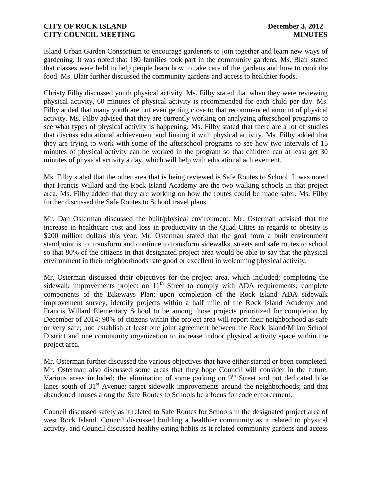Island Urban Garden Consortium to encourage gardeners to join together and learn new ways of gardening. It was noted that 180 families took part in the community gardens. Ms. Blair stated that classes were held to help people learn how to take care of the gardens and how to cook the food. Ms. Blair further discussed the community gardens and access to healthier foods.

Christy Filby discussed youth physical activity. Ms. Filby stated that when they were reviewing physical activity, 60 minutes of physical activity is recommended for each child per day. Ms. Filby added that many youth are not even getting close to that recommended amount of physical activity. Ms. Filby advised that they are currently working on analyzing afterschool programs to see what types of physical activity is happening. Ms. Filby stated that there are a lot of studies that discuss educational achievement and linking it with physical activity. Ms. Filby added that they are trying to work with some of the afterschool programs to see how two intervals of 15 minutes of physical activity can be worked in the program so that children can at least get 30 minutes of physical activity a day, which will help with educational achievement.

Ms. Filby stated that the other area that is being reviewed is Safe Routes to School. It was noted that Francis Willard and the Rock Island Academy are the two walking schools in that project area. Ms. Filby added that they are working on how the routes could be made safer. Ms. Filby further discussed the Safe Routes to School travel plans.

Mr. Dan Osterman discussed the built/physical environment. Mr. Osterman advised that the increase in healthcare cost and loss in productivity in the Quad Cities in regards to obesity is \$200 million dollars this year. Mr. Osterman stated that the goal from a built environment standpoint is to transform and continue to transform sidewalks, streets and safe routes to school so that 80% of the citizens in that designated project area would be able to say that the physical environment in their neighborhoods rate good or excellent in welcoming physical activity.

Mr. Osterman discussed their objectives for the project area, which included; completing the sidewalk improvements project on  $11<sup>th</sup>$  Street to comply with ADA requirements; complete components of the Bikeways Plan; upon completion of the Rock Island ADA sidewalk improvement survey, identify projects within a half mile of the Rock Island Academy and Francis Willard Elementary School to be among those projects prioritized for completion by December of 2014; 90% of citizens within the project area will report their neighborhood as safe or very safe; and establish at least one joint agreement between the Rock Island/Milan School District and one community organization to increase indoor physical activity space within the project area.

Mr. Osterman further discussed the various objectives that have either started or been completed. Mr. Osterman also discussed some areas that they hope Council will consider in the future. Various areas included; the elimination of some parking on  $9<sup>th</sup>$  Street and put dedicated bike lanes south of  $31<sup>st</sup>$  Avenue; target sidewalk improvements around the neighborhoods; and that abandoned houses along the Safe Routes to Schools be a focus for code enforcement.

Council discussed safety as it related to Safe Routes for Schools in the designated project area of west Rock Island. Council discussed building a healthier community as it related to physical activity, and Council discussed healthy eating habits as it related community gardens and access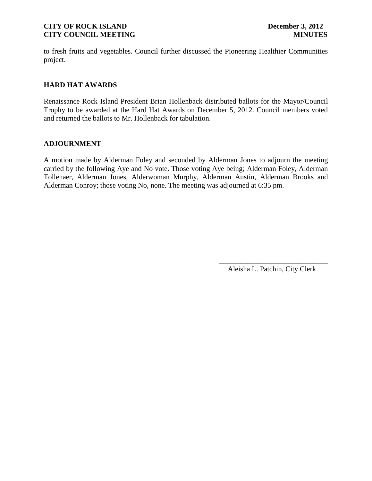to fresh fruits and vegetables. Council further discussed the Pioneering Healthier Communities project.

# **HARD HAT AWARDS**

Renaissance Rock Island President Brian Hollenback distributed ballots for the Mayor/Council Trophy to be awarded at the Hard Hat Awards on December 5, 2012. Council members voted and returned the ballots to Mr. Hollenback for tabulation.

### **ADJOURNMENT**

A motion made by Alderman Foley and seconded by Alderman Jones to adjourn the meeting carried by the following Aye and No vote. Those voting Aye being; Alderman Foley, Alderman Tollenaer, Alderman Jones, Alderwoman Murphy, Alderman Austin, Alderman Brooks and Alderman Conroy; those voting No, none. The meeting was adjourned at 6:35 pm.

> \_\_\_\_\_\_\_\_\_\_\_\_\_\_\_\_\_\_\_\_\_\_\_\_\_\_\_\_\_\_ Aleisha L. Patchin, City Clerk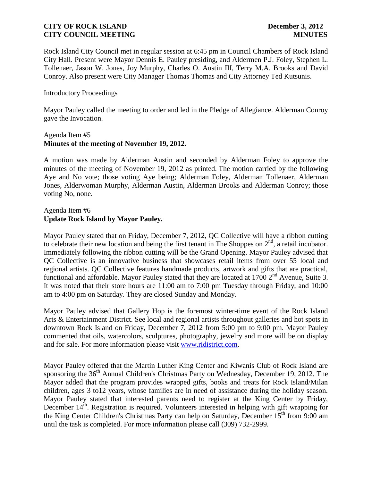Rock Island City Council met in regular session at 6:45 pm in Council Chambers of Rock Island City Hall. Present were Mayor Dennis E. Pauley presiding, and Aldermen P.J. Foley, Stephen L. Tollenaer, Jason W. Jones, Joy Murphy, Charles O. Austin III, Terry M.A. Brooks and David Conroy. Also present were City Manager Thomas Thomas and City Attorney Ted Kutsunis.

### Introductory Proceedings

Mayor Pauley called the meeting to order and led in the Pledge of Allegiance. Alderman Conroy gave the Invocation.

### Agenda Item #5 **Minutes of the meeting of November 19, 2012.**

A motion was made by Alderman Austin and seconded by Alderman Foley to approve the minutes of the meeting of November 19, 2012 as printed. The motion carried by the following Aye and No vote; those voting Aye being; Alderman Foley, Alderman Tollenaer, Alderman Jones, Alderwoman Murphy, Alderman Austin, Alderman Brooks and Alderman Conroy; those voting No, none.

## Agenda Item #6 **Update Rock Island by Mayor Pauley.**

Mayor Pauley stated that on Friday, December 7, 2012, QC Collective will have a ribbon cutting to celebrate their new location and being the first tenant in The Shoppes on  $2<sup>nd</sup>$ , a retail incubator. Immediately following the ribbon cutting will be the Grand Opening. Mayor Pauley advised that QC Collective is an innovative business that showcases retail items from over 55 local and regional artists. QC Collective features handmade products, artwork and gifts that are practical, functional and affordable. Mayor Pauley stated that they are located at 1700 2<sup>nd</sup> Avenue, Suite 3. It was noted that their store hours are 11:00 am to 7:00 pm Tuesday through Friday, and 10:00 am to 4:00 pm on Saturday. They are closed Sunday and Monday.

Mayor Pauley advised that Gallery Hop is the foremost winter-time event of the Rock Island Arts & Entertainment District. See local and regional artists throughout galleries and hot spots in downtown Rock Island on Friday, December 7, 2012 from 5:00 pm to 9:00 pm. Mayor Pauley commented that oils, watercolors, sculptures, photography, jewelry and more will be on display and for sale. For more information please visit [www.ridistrict.com.](http://www.ridistrict.com/)

Mayor Pauley offered that the Martin Luther King Center and Kiwanis Club of Rock Island are sponsoring the 36<sup>th</sup> Annual Children's Christmas Party on Wednesday, December 19, 2012. The Mayor added that the program provides wrapped gifts, books and treats for Rock Island/Milan children, ages 3 to12 years, whose families are in need of assistance during the holiday season. Mayor Pauley stated that interested parents need to register at the King Center by Friday, December 14<sup>th</sup>. Registration is required. Volunteers interested in helping with gift wrapping for the King Center Children's Christmas Party can help on Saturday, December 15<sup>th</sup> from 9:00 am until the task is completed. For more information please call (309) 732-2999.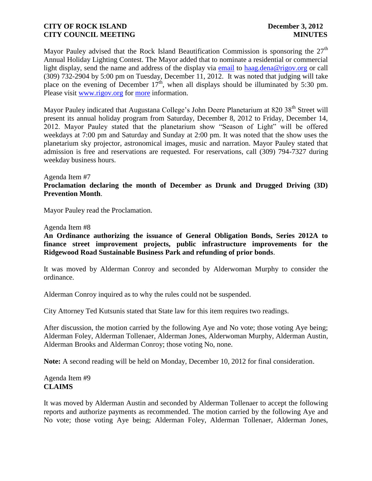Mayor Pauley advised that the Rock Island Beautification Commission is sponsoring the  $27<sup>th</sup>$ Annual Holiday Lighting Contest. The Mayor added that to nominate a residential or commercial light display, send the name and address of the display via [email](mailto:planning@rigov.org?) to [haag.dena@rigov.org](mailto:haag.dena@rigov.org) or call (309) 732-2904 by 5:00 pm on Tuesday, December 11, 2012. It was noted that judging will take place on the evening of December  $17<sup>th</sup>$ , when all displays should be illuminated by 5:30 pm. Please visit [www.rigov.org](http://www.rigov.org/) for [more](http://r20.rs6.net/tn.jsp?llr=kjh86ncab&et=1108886067530&s=151&e=001BZjWCdSvWZnNNMKB85Yq4GbAQOt6v9ij-ufLWiP0Q5uk_nz5yf82_vxPnL9EcGCeTfaWaQZSKjg1pME8S5nCqfe00IKKZa3EvaNwssvYbN-816SMgkrxeVXg94jl5CKfNcGDkTJv2N3lRhyiP40SzA==) information.

Mayor Pauley indicated that Augustana College's John Deere Planetarium at 820 38<sup>th</sup> Street will present its annual holiday program from Saturday, December 8, 2012 to Friday, December 14, 2012. Mayor Pauley stated that the planetarium show "Season of Light" will be offered weekdays at 7:00 pm and Saturday and Sunday at 2:00 pm. It was noted that the show uses the planetarium sky projector, astronomical images, music and narration. Mayor Pauley stated that admission is free and reservations are requested. For reservations, call (309) 794-7327 during weekday business hours.

#### Agenda Item #7

**Proclamation declaring the month of December as Drunk and Drugged Driving (3D) Prevention Month**.

Mayor Pauley read the Proclamation.

#### Agenda Item #8

**An Ordinance authorizing the issuance of General Obligation Bonds, Series 2012A to finance street improvement projects, public infrastructure improvements for the Ridgewood Road Sustainable Business Park and refunding of prior bonds**.

It was moved by Alderman Conroy and seconded by Alderwoman Murphy to consider the ordinance.

Alderman Conroy inquired as to why the rules could not be suspended.

City Attorney Ted Kutsunis stated that State law for this item requires two readings.

After discussion, the motion carried by the following Aye and No vote; those voting Aye being; Alderman Foley, Alderman Tollenaer, Alderman Jones, Alderwoman Murphy, Alderman Austin, Alderman Brooks and Alderman Conroy; those voting No, none.

**Note:** A second reading will be held on Monday, December 10, 2012 for final consideration.

## Agenda Item #9 **CLAIMS**

It was moved by Alderman Austin and seconded by Alderman Tollenaer to accept the following reports and authorize payments as recommended. The motion carried by the following Aye and No vote; those voting Aye being; Alderman Foley, Alderman Tollenaer, Alderman Jones,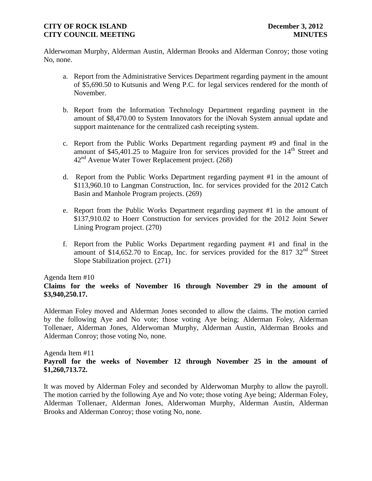Alderwoman Murphy, Alderman Austin, Alderman Brooks and Alderman Conroy; those voting No, none.

- a. Report from the Administrative Services Department regarding payment in the amount of \$5,690.50 to Kutsunis and Weng P.C. for legal services rendered for the month of November.
- b. Report from the Information Technology Department regarding payment in the amount of \$8,470.00 to System Innovators for the iNovah System annual update and support maintenance for the centralized cash receipting system.
- c. Report from the Public Works Department regarding payment #9 and final in the amount of \$45,401.25 to Maguire Iron for services provided for the  $14<sup>th</sup>$  Street and  $42<sup>nd</sup>$  Avenue Water Tower Replacement project. (268)
- d. Report from the Public Works Department regarding payment #1 in the amount of \$113,960.10 to Langman Construction, Inc. for services provided for the 2012 Catch Basin and Manhole Program projects. (269)
- e. Report from the Public Works Department regarding payment #1 in the amount of \$137,910.02 to Hoerr Construction for services provided for the 2012 Joint Sewer Lining Program project. (270)
- f. Report from the Public Works Department regarding payment #1 and final in the amount of \$14,652.70 to Encap, Inc. for services provided for the 817  $32<sup>nd</sup>$  Street Slope Stabilization project. (271)

### Agenda Item #10

# **Claims for the weeks of November 16 through November 29 in the amount of \$3,940,250.17.**

Alderman Foley moved and Alderman Jones seconded to allow the claims. The motion carried by the following Aye and No vote; those voting Aye being; Alderman Foley, Alderman Tollenaer, Alderman Jones, Alderwoman Murphy, Alderman Austin, Alderman Brooks and Alderman Conroy; those voting No, none.

### Agenda Item #11 **Payroll for the weeks of November 12 through November 25 in the amount of \$1,260,713.72.**

It was moved by Alderman Foley and seconded by Alderwoman Murphy to allow the payroll. The motion carried by the following Aye and No vote; those voting Aye being; Alderman Foley, Alderman Tollenaer, Alderman Jones, Alderwoman Murphy, Alderman Austin, Alderman Brooks and Alderman Conroy; those voting No, none.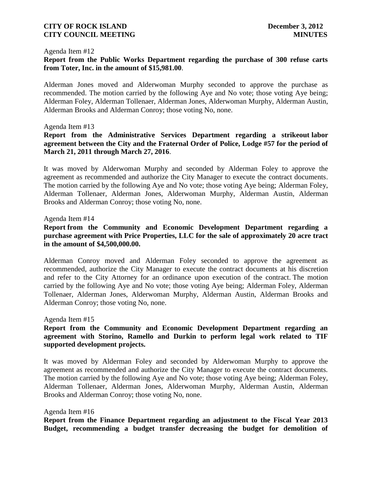#### Agenda Item #12

### **Report from the Public Works Department regarding the purchase of 300 refuse carts from Toter, Inc. in the amount of \$15,981.00**.

Alderman Jones moved and Alderwoman Murphy seconded to approve the purchase as recommended. The motion carried by the following Aye and No vote; those voting Aye being; Alderman Foley, Alderman Tollenaer, Alderman Jones, Alderwoman Murphy, Alderman Austin, Alderman Brooks and Alderman Conroy; those voting No, none.

#### Agenda Item #13

## **Report from the Administrative Services Department regarding a strikeout labor agreement between the City and the Fraternal Order of Police, Lodge #57 for the period of March 21, 2011 through March 27, 2016**.

It was moved by Alderwoman Murphy and seconded by Alderman Foley to approve the agreement as recommended and authorize the City Manager to execute the contract documents. The motion carried by the following Aye and No vote; those voting Aye being; Alderman Foley, Alderman Tollenaer, Alderman Jones, Alderwoman Murphy, Alderman Austin, Alderman Brooks and Alderman Conroy; those voting No, none.

#### Agenda Item #14

## **Report from the Community and Economic Development Department regarding a purchase agreement with Price Properties, LLC for the sale of approximately 20 acre tract in the amount of \$4,500,000.00.**

Alderman Conroy moved and Alderman Foley seconded to approve the agreement as recommended, authorize the City Manager to execute the contract documents at his discretion and refer to the City Attorney for an ordinance upon execution of the contract. The motion carried by the following Aye and No vote; those voting Aye being; Alderman Foley, Alderman Tollenaer, Alderman Jones, Alderwoman Murphy, Alderman Austin, Alderman Brooks and Alderman Conroy; those voting No, none.

#### Agenda Item #15

## **Report from the Community and Economic Development Department regarding an agreement with Storino, Ramello and Durkin to perform legal work related to TIF supported development projects.**

It was moved by Alderman Foley and seconded by Alderwoman Murphy to approve the agreement as recommended and authorize the City Manager to execute the contract documents. The motion carried by the following Aye and No vote; those voting Aye being; Alderman Foley, Alderman Tollenaer, Alderman Jones, Alderwoman Murphy, Alderman Austin, Alderman Brooks and Alderman Conroy; those voting No, none.

#### Agenda Item #16

**Report from the Finance Department regarding an adjustment to the Fiscal Year 2013 Budget, recommending a budget transfer decreasing the budget for demolition of**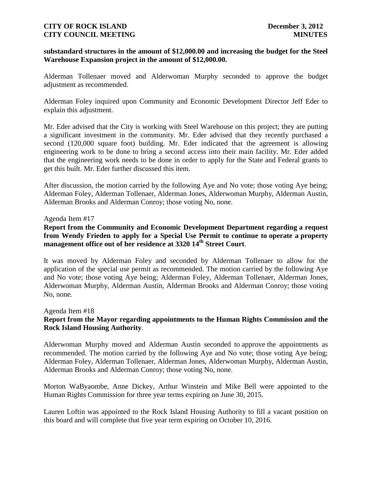### **substandard structures in the amount of \$12,000.00 and increasing the budget for the Steel Warehouse Expansion project in the amount of \$12,000.00.**

Alderman Tollenaer moved and Alderwoman Murphy seconded to approve the budget adjustment as recommended.

Alderman Foley inquired upon Community and Economic Development Director Jeff Eder to explain this adjustment.

Mr. Eder advised that the City is working with Steel Warehouse on this project; they are putting a significant investment in the community. Mr. Eder advised that they recently purchased a second (120,000 square foot) building. Mr. Eder indicated that the agreement is allowing engineering work to be done to bring a second access into their main facility. Mr. Eder added that the engineering work needs to be done in order to apply for the State and Federal grants to get this built. Mr. Eder further discussed this item.

After discussion, the motion carried by the following Aye and No vote; those voting Aye being; Alderman Foley, Alderman Tollenaer, Alderman Jones, Alderwoman Murphy, Alderman Austin, Alderman Brooks and Alderman Conroy; those voting No, none.

#### Agenda Item #17

**Report from the Community and Economic Development Department regarding a request from Wendy Frieden to apply for a Special Use Permit to continue to operate a property management office out of her residence at 3320 14th Street Court**.

It was moved by Alderman Foley and seconded by Alderman Tollenaer to allow for the application of the special use permit as recommended. The motion carried by the following Aye and No vote; those voting Aye being; Alderman Foley, Alderman Tollenaer, Alderman Jones, Alderwoman Murphy, Alderman Austin, Alderman Brooks and Alderman Conroy; those voting No, none.

Agenda Item #18

## **Report from the Mayor regarding appointments to the Human Rights Commission and the Rock Island Housing Authority**.

Alderwoman Murphy moved and Alderman Austin seconded to approve the appointments as recommended. The motion carried by the following Aye and No vote; those voting Aye being; Alderman Foley, Alderman Tollenaer, Alderman Jones, Alderwoman Murphy, Alderman Austin, Alderman Brooks and Alderman Conroy; those voting No, none.

Morton WaByaombe, Anne Dickey, Arthur Winstein and Mike Bell were appointed to the Human Rights Commission for three year terms expiring on June 30, 2015.

Lauren Loftin was appointed to the Rock Island Housing Authority to fill a vacant position on this board and will complete that five year term expiring on October 10, 2016.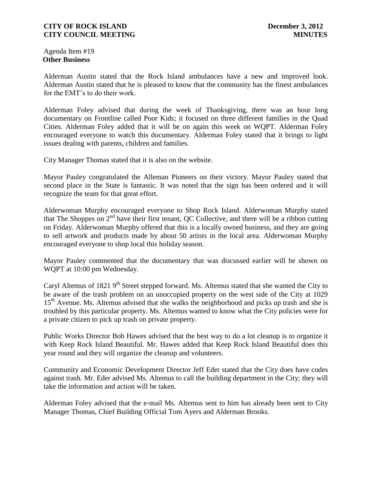Agenda Item #19 **Other Business**

Alderman Austin stated that the Rock Island ambulances have a new and improved look. Alderman Austin stated that he is pleased to know that the community has the finest ambulances for the EMT's to do their work.

Alderman Foley advised that during the week of Thanksgiving, there was an hour long documentary on Frontline called Poor Kids; it focused on three different families in the Quad Cities. Alderman Foley added that it will be on again this week on WQPT. Alderman Foley encouraged everyone to watch this documentary. Alderman Foley stated that it brings to light issues dealing with parents, children and families.

City Manager Thomas stated that it is also on the website.

Mayor Pauley congratulated the Alleman Pioneers on their victory. Mayor Pauley stated that second place in the State is fantastic. It was noted that the sign has been ordered and it will recognize the team for that great effort.

Alderwoman Murphy encouraged everyone to Shop Rock Island. Alderwoman Murphy stated that The Shoppes on 2nd have their first tenant, QC Collective, and there will be a ribbon cutting on Friday. Alderwoman Murphy offered that this is a locally owned business, and they are going to sell artwork and products made by about 50 artists in the local area. Alderwoman Murphy encouraged everyone to shop local this holiday season.

Mayor Pauley commented that the documentary that was discussed earlier will be shown on WQPT at 10:00 pm Wednesday.

Caryl Altemus of 1821 9<sup>th</sup> Street stepped forward. Ms. Altemus stated that she wanted the City to be aware of the trash problem on an unoccupied property on the west side of the City at 1029 15<sup>th</sup> Avenue. Ms. Altemus advised that she walks the neighborhood and picks up trash and she is troubled by this particular property. Ms. Altemus wanted to know what the City policies were for a private citizen to pick up trash on private property.

Public Works Director Bob Hawes advised that the best way to do a lot cleanup is to organize it with Keep Rock Island Beautiful. Mr. Hawes added that Keep Rock Island Beautiful does this year round and they will organize the cleanup and volunteers.

Community and Economic Development Director Jeff Eder stated that the City does have codes against trash. Mr. Eder advised Ms. Altemus to call the building department in the City; they will take the information and action will be taken.

Alderman Foley advised that the e-mail Ms. Altemus sent to him has already been sent to City Manager Thomas, Chief Building Official Tom Ayers and Alderman Brooks.